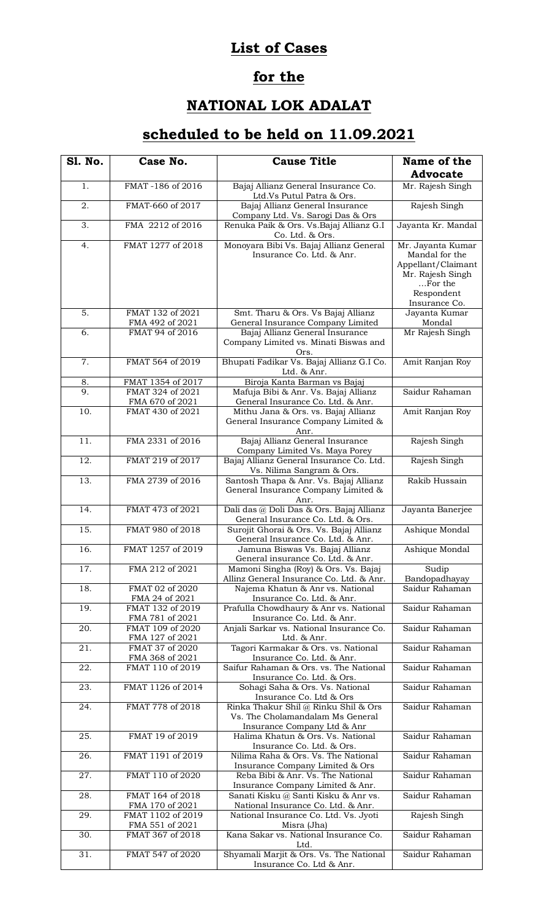## **List of Cases**

## **for the**

## **NATIONAL LOK ADALAT**

## **scheduled to be held on 11.09.2021**

| <b>S1. No.</b>    | Case No.                             | <b>Cause Title</b>                                                                                      | Name of the<br><b>Advocate</b>                                                                                          |
|-------------------|--------------------------------------|---------------------------------------------------------------------------------------------------------|-------------------------------------------------------------------------------------------------------------------------|
| 1.                | FMAT-186 of 2016                     | Bajaj Allianz General Insurance Co.<br>Ltd.Vs Putul Patra & Ors.                                        | Mr. Rajesh Singh                                                                                                        |
| 2.                | FMAT-660 of 2017                     | Bajaj Allianz General Insurance<br>Company Ltd. Vs. Sarogi Das & Ors                                    | Rajesh Singh                                                                                                            |
| 3.                | FMA 2212 of 2016                     | Renuka Paik & Ors. Vs. Bajaj Allianz G.I<br>Co. Ltd. & Ors.                                             | Jayanta Kr. Mandal                                                                                                      |
| 4.                | FMAT 1277 of 2018                    | Monoyara Bibi Vs. Bajaj Allianz General<br>Insurance Co. Ltd. & Anr.                                    | Mr. Jayanta Kumar<br>Mandal for the<br>Appellant/Claimant<br>Mr. Rajesh Singh<br>For the<br>Respondent<br>Insurance Co. |
| 5.                | FMAT 132 of 2021<br>FMA 492 of 2021  | Smt. Tharu & Ors. Vs Bajaj Allianz<br>General Insurance Company Limited                                 | Jayanta Kumar<br>Mondal                                                                                                 |
| $\overline{6}$ .  | FMAT 94 of 2016                      | Bajaj Allianz General Insurance<br>Company Limited vs. Minati Biswas and<br>Ors.                        | Mr Rajesh Singh                                                                                                         |
| 7.                | FMAT 564 of 2019                     | Bhupati Fadikar Vs. Bajaj Allianz G.I Co.<br>Ltd. & Anr.                                                | Amit Ranjan Roy                                                                                                         |
| 8.                | FMAT 1354 of 2017                    | Biroja Kanta Barman vs Bajaj                                                                            |                                                                                                                         |
| 9.                | FMAT 324 of 2021                     | Mafuja Bibi & Anr. Vs. Bajaj Allianz                                                                    | Saidur Rahaman                                                                                                          |
|                   | FMA 670 of 2021                      | General Insurance Co. Ltd. & Anr.                                                                       |                                                                                                                         |
| 10.               | FMAT 430 of 2021                     | Mithu Jana & Ors. vs. Bajaj Allianz<br>General Insurance Company Limited &<br>Anr.                      | Amit Ranjan Roy                                                                                                         |
| 11.               | FMA 2331 of 2016                     | Bajaj Allianz General Insurance<br>Company Limited Vs. Maya Porey                                       | Rajesh Singh                                                                                                            |
| 12.               | FMAT 219 of 2017                     | Bajaj Allianz General Insurance Co. Ltd.<br>Vs. Nilima Sangram & Ors.                                   | Rajesh Singh                                                                                                            |
| $\overline{13}$ . | FMA 2739 of 2016                     | Santosh Thapa & Anr. Vs. Bajaj Allianz<br>General Insurance Company Limited &<br>Anr.                   | Rakib Hussain                                                                                                           |
| 14.               | FMAT 473 of 2021                     | Dali das @ Doli Das & Ors. Bajaj Allianz<br>General Insurance Co. Ltd. & Ors.                           | Jayanta Banerjee                                                                                                        |
| $\overline{15}$ . | FMAT 980 of 2018                     | Surojit Ghorai & Ors. Vs. Bajaj Allianz<br>General Insurance Co. Ltd. & Anr.                            | Ashique Mondal                                                                                                          |
| 16.               | FMAT 1257 of 2019                    | Jamuna Biswas Vs. Bajaj Allianz<br>General insurance Co. Ltd. & Anr.                                    | Ashique Mondal                                                                                                          |
| 17.               | FMA 212 of 2021                      | Mamoni Singha (Roy) & Ors. Vs. Bajaj<br>Allinz General Insurance Co. Ltd. & Anr.                        | Sudip<br>Bandopadhayay                                                                                                  |
| 18.               | FMAT 02 of 2020<br>FMA 24 of 2021    | Najema Khatun & Anr vs. National<br>Insurance Co. Ltd. & Anr.                                           | Saidur Rahaman                                                                                                          |
| 19.               | FMAT 132 of 2019<br>FMA 781 of 2021  | Prafulla Chowdhaury & Anr vs. National<br>Insurance Co. Ltd. & Anr.                                     | Saidur Rahaman                                                                                                          |
| 20.               | FMAT 109 of 2020<br>FMA 127 of 2021  | Anjali Sarkar vs. National Insurance Co.                                                                | Saidur Rahaman                                                                                                          |
| 21.               | FMAT 37 of 2020                      | Ltd. & Anr.<br>Tagori Karmakar & Ors. vs. National                                                      | Saidur Rahaman                                                                                                          |
|                   | FMA 368 of 2021                      | Insurance Co. Ltd. & Anr.                                                                               |                                                                                                                         |
| 22.               | FMAT 110 of 2019                     | Saifur Rahaman & Ors. vs. The National<br>Insurance Co. Ltd. & Ors.                                     | Saidur Rahaman                                                                                                          |
| $\overline{23}$ . | FMAT 1126 of 2014                    | Sohagi Saha & Ors. Vs. National<br>Insurance Co. Ltd & Ors                                              | Saidur Rahaman                                                                                                          |
| 24.               | FMAT 778 of 2018                     | Rinka Thakur Shil @ Rinku Shil & Ors<br>Vs. The Cholamandalam Ms General<br>Insurance Company Ltd & Anr | Saidur Rahaman                                                                                                          |
| 25.               | FMAT 19 of 2019                      | Halima Khatun & Ors. Vs. National<br>Insurance Co. Ltd. & Ors.                                          | Saidur Rahaman                                                                                                          |
| 26.               | FMAT 1191 of 2019                    | Nilima Raha & Ors. Vs. The National<br>Insurance Company Limited & Ors                                  | Saidur Rahaman                                                                                                          |
| 27.               | FMAT 110 of 2020                     | Reba Bibi & Anr. Vs. The National<br>Insurance Company Limited & Anr.                                   | Saidur Rahaman                                                                                                          |
| 28.               | FMAT 164 of 2018                     | Sanati Kisku @ Santi Kisku & Anr vs.                                                                    | Saidur Rahaman                                                                                                          |
| 29.               | FMA 170 of 2021<br>FMAT 1102 of 2019 | National Insurance Co. Ltd. & Anr.<br>National Insurance Co. Ltd. Vs. Jyoti                             | Rajesh Singh                                                                                                            |
| 30.               | FMA 551 of 2021<br>FMAT 367 of 2018  | Misra (Jha)<br>Kana Sakar vs. National Insurance Co.<br>Ltd.                                            | Saidur Rahaman                                                                                                          |
| 31.               | FMAT 547 of 2020                     | Shyamali Marjit & Ors. Vs. The National<br>Insurance Co. Ltd & Anr.                                     | Saidur Rahaman                                                                                                          |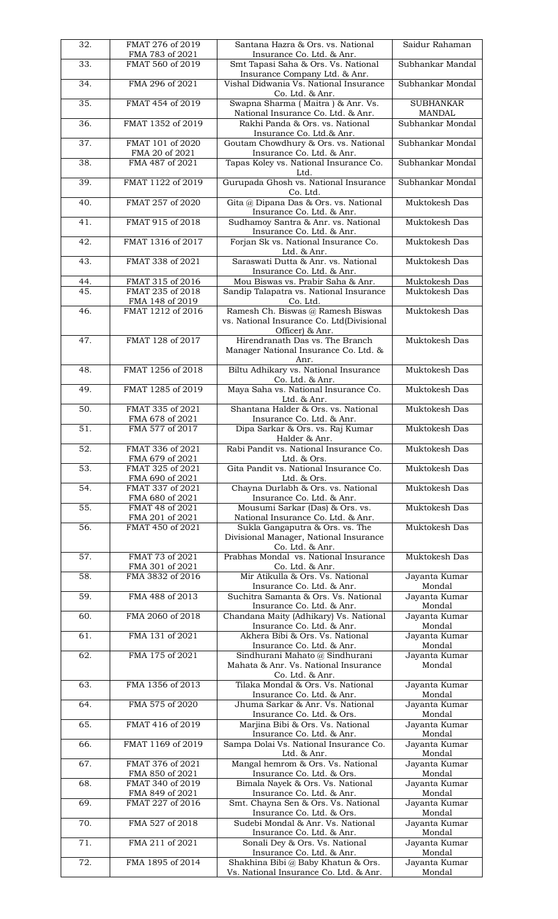| 32.               | FMAT 276 of 2019<br>FMA 783 of 2021  | Santana Hazra & Ors. vs. National<br>Insurance Co. Ltd. & Anr.                                                | Saidur Rahaman                    |
|-------------------|--------------------------------------|---------------------------------------------------------------------------------------------------------------|-----------------------------------|
| 33.               | FMAT 560 of 2019                     | Smt Tapasi Saha & Ors. Vs. National<br>Insurance Company Ltd. & Anr.                                          | Subhankar Mandal                  |
| 34.               | FMA 296 of 2021                      | Vishal Didwania Vs. National Insurance<br>Co. Ltd. & Anr.                                                     | Subhankar Mondal                  |
| $\overline{35}$ . | FMAT 454 of 2019                     | Swapna Sharma (Maitra) & Anr. Vs.<br>National Insurance Co. Ltd. & Anr.                                       | <b>SUBHANKAR</b><br>MANDAL        |
| 36.               | FMAT 1352 of 2019                    | Rakhi Panda & Ors. vs. National<br>Insurance Co. Ltd.& Anr.                                                   | Subhankar Mondal                  |
| 37.               | FMAT 101 of 2020<br>FMA 20 of 2021   | Goutam Chowdhury & Ors. vs. National<br>Insurance Co. Ltd. & Anr.                                             | Subhankar Mondal                  |
| 38.               | FMA 487 of 2021                      | Tapas Koley vs. National Insurance Co.<br>Ltd.                                                                | Subhankar Mondal                  |
| 39.               | FMAT 1122 of 2019                    | Gurupada Ghosh vs. National Insurance<br>Co. Ltd.                                                             | Subhankar Mondal                  |
| 40.               | FMAT 257 of 2020                     | Gita @ Dipana Das & Ors. vs. National<br>Insurance Co. Ltd. & Anr.                                            | Muktokesh Das                     |
| 41.               | FMAT 915 of 2018                     | Sudhamoy Santra & Anr. vs. National<br>Insurance Co. Ltd. & Anr.                                              | Muktokesh Das                     |
| 42.               | FMAT 1316 of 2017                    | Forjan Sk vs. National Insurance Co.<br>Ltd. & Anr.                                                           | Muktokesh Das                     |
| 43.               | FMAT 338 of 2021                     | Saraswati Dutta & Anr. vs. National<br>Insurance Co. Ltd. & Anr.                                              | Muktokesh Das                     |
| 44.               | FMAT 315 of 2016                     | Mou Biswas vs. Prabir Saha & Anr.                                                                             | Muktokesh Das                     |
| 45.               | FMAT 235 of 2018                     | Sandip Talapatra vs. National Insurance                                                                       | Muktokesh Das                     |
| 46.               | FMA 148 of 2019<br>FMAT 1212 of 2016 | Co. Ltd.<br>Ramesh Ch. Biswas @ Ramesh Biswas<br>vs. National Insurance Co. Ltd(Divisional<br>Officer) & Anr. | Muktokesh Das                     |
| 47.               | FMAT 128 of 2017                     | Hirendranath Das vs. The Branch<br>Manager National Insurance Co. Ltd. &<br>Anr.                              | Muktokesh Das                     |
| 48.               | FMAT 1256 of 2018                    | Biltu Adhikary vs. National Insurance<br>Co. Ltd. & Anr.                                                      | Muktokesh Das                     |
| 49.               | FMAT 1285 of 2019                    | Maya Saha vs. National Insurance Co.<br>Ltd. & Anr.                                                           | Muktokesh Das                     |
| 50.               | FMAT 335 of 2021<br>FMA 678 of 2021  | Shantana Halder & Ors. vs. National<br>Insurance Co. Ltd. & Anr.                                              | Muktokesh Das                     |
| 51.               | FMA 577 of 2017                      | Dipa Sarkar & Ors. vs. Raj Kumar<br>Halder & Anr.                                                             | Muktokesh Das                     |
| $\overline{52}$ . | FMAT 336 of 2021<br>FMA 679 of 2021  | Rabi Pandit vs. National Insurance Co.<br>Ltd. & Ors.                                                         | Muktokesh Das                     |
| 53.               | FMAT 325 of 2021<br>FMA 690 of 2021  | Gita Pandit vs. National Insurance Co.<br>Ltd. & Ors.                                                         | Muktokesh Das                     |
| 54.               | FMAT 337 of 2021<br>FMA 680 of 2021  | Chayna Durlabh & Ors. vs. National<br>Insurance Co. Ltd. & Anr.                                               | Muktokesh Das                     |
| $\overline{55}$ . | FMAT 48 of 2021<br>FMA 201 of 2021   | Mousumi Sarkar (Das) & Ors. vs.<br>National Insurance Co. Ltd. & Anr.                                         | Muktokesh Das                     |
| 56.               | FMAT 450 of 2021                     | Sukla Gangaputra & Ors. vs. The<br>Divisional Manager, National Insurance                                     | Muktokesh Das                     |
|                   |                                      | Co. Ltd. & Anr.                                                                                               |                                   |
| 57.               | FMAT 73 of 2021                      | Prabhas Mondal vs. National Insurance                                                                         | Muktokesh Das                     |
| 58.               | FMA 301 of 2021<br>FMA 3832 of 2016  | Co. Ltd. & Anr.<br>Mir Atikulla & Ors. Vs. National                                                           | Jayanta Kumar                     |
| 59.               | FMA 488 of 2013                      | Insurance Co. Ltd. & Anr.<br>Suchitra Samanta & Ors. Vs. National<br>Insurance Co. Ltd. & Anr.                | Mondal<br>Jayanta Kumar<br>Mondal |
| 60.               | FMA 2060 of 2018                     | Chandana Maity (Adhikary) Vs. National<br>Insurance Co. Ltd. & Anr.                                           | Jayanta Kumar<br>Mondal           |
| 61.               | FMA 131 of 2021                      | Akhera Bibi & Ors. Vs. National<br>Insurance Co. Ltd. & Anr.                                                  | Jayanta Kumar<br>Mondal           |
| $\overline{62}$ . | FMA 175 of 2021                      | Sindhurani Mahato @ Sindhurani<br>Mahata & Anr. Vs. National Insurance<br>Co. Ltd. & Anr.                     | Jayanta Kumar<br>Mondal           |
| 63.               | FMA 1356 of 2013                     | Tilaka Mondal & Ors. Vs. National<br>Insurance Co. Ltd. & Anr.                                                | Jayanta Kumar<br>Mondal           |
| 64.               | FMA 575 of 2020                      | Jhuma Sarkar & Anr. Vs. National<br>Insurance Co. Ltd. & Ors.                                                 | Jayanta Kumar<br>Mondal           |
| 65.               | FMAT 416 of 2019                     | Marjina Bibi & Ors. Vs. National<br>Insurance Co. Ltd. & Anr.                                                 | Jayanta Kumar<br>Mondal           |
| 66.               | FMAT 1169 of 2019                    | Sampa Dolai Vs. National Insurance Co.<br>Ltd. & Anr.                                                         | Jayanta Kumar<br>Mondal           |
| 67.               | FMAT 376 of 2021<br>FMA 850 of 2021  | Mangal hemrom & Ors. Vs. National<br>Insurance Co. Ltd. & Ors.                                                | Jayanta Kumar<br>Mondal           |
| 68.               | FMAT 340 of 2019<br>FMA 849 of 2021  | Bimala Nayek & Ors. Vs. National<br>Insurance Co. Ltd. & Anr.                                                 | Jayanta Kumar<br>Mondal           |
| 69.               | FMAT 227 of 2016                     | Smt. Chayna Sen & Ors. Vs. National<br>Insurance Co. Ltd. & Ors.                                              | Jayanta Kumar<br>Mondal           |
| 70.               | FMA 527 of 2018                      | Sudebi Mondal & Anr. Vs. National<br>Insurance Co. Ltd. & Anr.                                                | Jayanta Kumar<br>Mondal           |
| 71.               | FMA 211 of 2021                      | Sonali Dey & Ors. Vs. National<br>Insurance Co. Ltd. & Anr.                                                   | Jayanta Kumar<br>Mondal           |
| 72.               | FMA 1895 of 2014                     | Shakhina Bibi @ Baby Khatun & Ors.<br>Vs. National Insurance Co. Ltd. & Anr.                                  | Jayanta Kumar<br>Mondal           |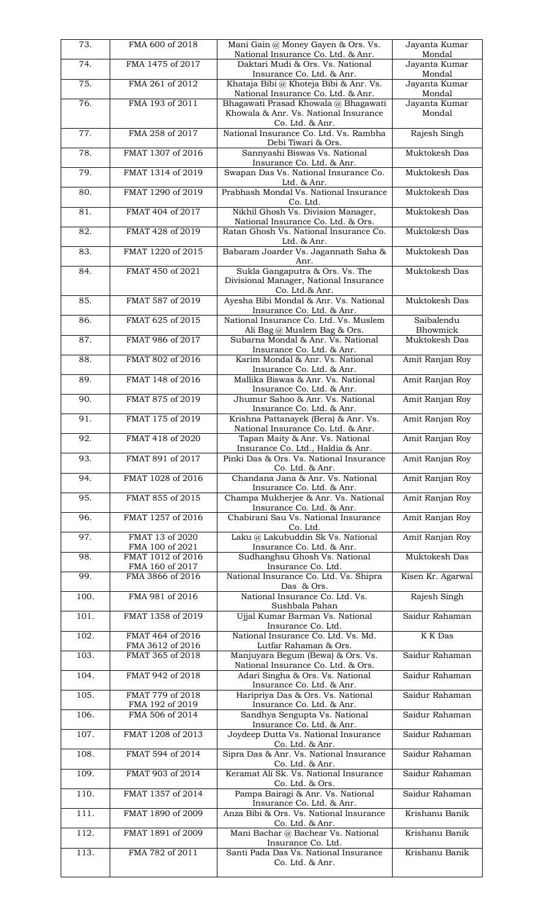| 73.                | FMA 600 of 2018                      | Mani Gain @ Money Gayen & Ors. Vs.<br>National Insurance Co. Ltd. & Anr.                         | Jayanta Kumar<br>Mondal |
|--------------------|--------------------------------------|--------------------------------------------------------------------------------------------------|-------------------------|
| 74.                | FMA 1475 of 2017                     | Daktari Mudi & Ors. Vs. National<br>Insurance Co. Ltd. & Anr.                                    | Jayanta Kumar<br>Mondal |
| 75.                | FMA 261 of 2012                      | Khataja Bibi @ Khoteja Bibi & Anr. Vs.<br>National Insurance Co. Ltd. & Anr.                     | Jayanta Kumar<br>Mondal |
| 76.                | FMA 193 of 2011                      | Bhagawati Prasad Khowala @ Bhagawati<br>Khowala & Anr. Vs. National Insurance<br>Co. Ltd. & Anr. | Jayanta Kumar<br>Mondal |
| $\overline{77}$ .  | FMA 258 of 2017                      | National Insurance Co. Ltd. Vs. Rambha<br>Debi Tiwari & Ors.                                     | Rajesh Singh            |
| 78.                | FMAT 1307 of 2016                    | Sannyashi Biswas Vs. National<br>Insurance Co. Ltd. & Anr.                                       | Muktokesh Das           |
| 79.                | FMAT 1314 of 2019                    | Swapan Das Vs. National Insurance Co.<br>Ltd. & Anr.                                             | Muktokesh Das           |
| 80.                | FMAT 1290 of 2019                    | Prabhash Mondal Vs. National Insurance<br>Co. Ltd.                                               | Muktokesh Das           |
| 81.                | FMAT 404 of 2017                     | Nikhil Ghosh Vs. Division Manager,<br>National Insurance Co. Ltd. & Ors.                         | Muktokesh Das           |
| 82.                | FMAT 428 of 2019                     | Ratan Ghosh Vs. National Insurance Co.<br>Ltd. & Anr.                                            | Muktokesh Das           |
| 83.                | FMAT 1220 of 2015                    | Babaram Joarder Vs. Jagannath Saha &<br>Anr.                                                     | Muktokesh Das           |
| 84.                | FMAT 450 of 2021                     | Sukla Gangaputra & Ors. Vs. The<br>Divisional Manager, National Insurance<br>Co. Ltd.& Anr.      | Muktokesh Das           |
| 85.                | FMAT 587 of 2019                     | Ayesha Bibi Mondal & Anr. Vs. National<br>Insurance Co. Ltd. & Anr.                              | Muktokesh Das           |
| 86.                | FMAT 625 of 2015                     | National Insurance Co. Ltd. Vs. Muslem<br>Ali Bag @ Muslem Bag & Ors.                            | Saibalendu<br>Bhowmick  |
| 87.                | FMAT 986 of 2017                     | Subarna Mondal & Anr. Vs. National<br>Insurance Co. Ltd. & Anr.                                  | Muktokesh Das           |
| 88.                | FMAT 802 of 2016                     | Karim Mondal & Anr. Vs. National<br>Insurance Co. Ltd. & Anr.                                    | Amit Ranjan Roy         |
| 89.                | FMAT 148 of 2016                     | Mallika Biswas & Anr. Vs. National<br>Insurance Co. Ltd. & Anr.                                  | Amit Ranjan Roy         |
| 90.                | FMAT 875 of 2019                     | Jhumur Sahoo & Anr. Vs. National<br>Insurance Co. Ltd. & Anr.                                    | Amit Ranjan Roy         |
| 91.                | FMAT 175 of 2019                     | Krishna Pattanayek (Bera) & Anr. Vs.<br>National Insurance Co. Ltd. & Anr.                       | Amit Ranjan Roy         |
| 92.                | FMAT 418 of 2020                     | Tapan Maity & Anr. Vs. National<br>Insurance Co. Ltd., Haldia & Anr.                             | Amit Ranjan Roy         |
| 93.                | FMAT 891 of 2017                     | Pinki Das & Ors. Vs. National Insurance<br>Co. Ltd. & Anr.                                       | Amit Ranjan Roy         |
| 94.                | FMAT 1028 of 2016                    | Chandana Jana & Anr. Vs. National<br>Insurance Co. Ltd. & Anr.                                   | Amit Ranjan Roy         |
| 95.                | FMAT 855 of 2015                     | Champa Mukherjee & Anr. Vs. National<br>Insurance Co. Ltd. & Anr.                                | Amit Ranjan Roy         |
| 96.                | FMAT 1257 of 2016                    | Chabirani Sau Vs. National Insurance<br>Co. Ltd.                                                 | Amit Ranjan Roy         |
| 97.                | FMAT 13 of 2020<br>FMA 100 of 2021   | Laku @ Lakubuddin Sk Vs. National<br>Insurance Co. Ltd. & Anr.                                   | Amit Ranjan Roy         |
| 98.                | FMAT 1012 of 2016<br>FMA 160 of 2017 | Sudhanghsu Ghosh Vs. National<br>Insurance Co. Ltd.                                              | Muktokesh Das           |
| 99.                | FMA 3866 of 2016                     | National Insurance Co. Ltd. Vs. Shipra<br>Das & Ors.                                             | Kisen Kr. Agarwal       |
| 100.               | FMA 981 of 2016                      | National Insurance Co. Ltd. Vs.<br>Sushbala Pahan                                                | Rajesh Singh            |
| 101.               | FMAT 1358 of 2019                    | Ujjal Kumar Barman Vs. National<br>Insurance Co. Ltd.                                            | Saidur Rahaman          |
| 102.               | FMAT 464 of 2016<br>FMA 3612 of 2016 | National Insurance Co. Ltd. Vs. Md.<br>Lutfar Rahaman & Ors.                                     | K K Das                 |
| 103.               | FMAT 365 of 2018                     | Manjuyara Begum (Bewa) & Ors. Vs.<br>National Insurance Co. Ltd. & Ors.                          | Saidur Rahaman          |
| 104.               | FMAT 942 of 2018                     | Adari Singha & Ors. Vs. National<br>Insurance Co. Ltd. & Anr.                                    | Saidur Rahaman          |
| 105.               | FMAT 779 of 2018<br>FMA 192 of 2019  | Haripriya Das & Ors. Vs. National<br>Insurance Co. Ltd. & Anr.                                   | Saidur Rahaman          |
| 106.               | FMA 506 of 2014                      | Sandhya Sengupta Vs. National<br>Insurance Co. Ltd. & Anr.                                       | Saidur Rahaman          |
| 107.               | FMAT 1208 of 2013                    | Joydeep Dutta Vs. National Insurance<br>Co. Ltd. & Anr.                                          | Saidur Rahaman          |
| 108.               | FMAT 594 of 2014                     | Sipra Das & Anr. Vs. National Insurance<br>Co. Ltd. & Anr.                                       | Saidur Rahaman          |
| 109.               | FMAT 903 of 2014                     | Keramat Ali Sk. Vs. National Insurance<br>Co. Ltd. & Ors.                                        | Saidur Rahaman          |
| 110.               | FMAT 1357 of 2014                    | Pampa Bairagi & Anr. Vs. National<br>Insurance Co. Ltd. & Anr.                                   | Saidur Rahaman          |
| $\overline{111}$ . | FMAT 1890 of 2009                    | Anza Bibi & Ors. Vs. National Insurance<br>Co. Ltd. & Anr.                                       | Krishanu Banik          |
| 112.               | FMAT 1891 of 2009                    | Mani Bachar @ Bachear Vs. National<br>Insurance Co. Ltd.                                         | Krishanu Banik          |
| 113.               | FMA 782 of 2011                      | Santi Pada Das Vs. National Insurance<br>Co. Ltd. & Anr.                                         | Krishanu Banik          |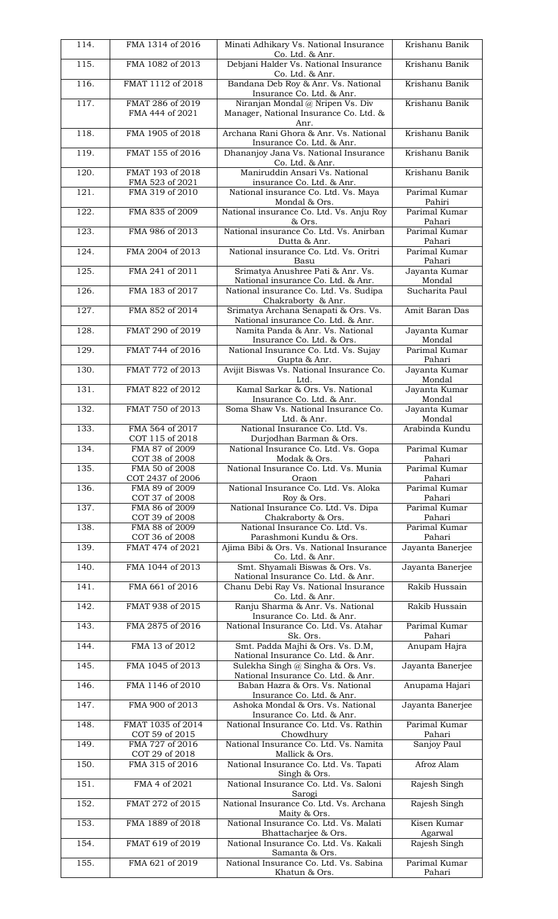| 114.               | FMA 1314 of 2016                    | Minati Adhikary Vs. National Insurance<br>Co. Ltd. & Anr.                          | Krishanu Banik          |
|--------------------|-------------------------------------|------------------------------------------------------------------------------------|-------------------------|
| 115.               | FMA 1082 of 2013                    | Debjani Halder Vs. National Insurance<br>Co. Ltd. & Anr.                           | Krishanu Banik          |
| 116.               | FMAT 1112 of 2018                   | Bandana Deb Roy & Anr. Vs. National<br>Insurance Co. Ltd. & Anr.                   | Krishanu Banik          |
| 117.               | FMAT 286 of 2019<br>FMA 444 of 2021 | Niranjan Mondal @ Nripen Vs. Div<br>Manager, National Insurance Co. Ltd. &<br>Anr. | Krishanu Banik          |
| 118.               | FMA 1905 of 2018                    | Archana Rani Ghora & Anr. Vs. National<br>Insurance Co. Ltd. & Anr.                | Krishanu Banik          |
| 119.               | FMAT 155 of 2016                    | Dhananjoy Jana Vs. National Insurance<br>Co. Ltd. & Anr.                           | Krishanu Banik          |
| $\overline{120}$ . | FMAT 193 of 2018<br>FMA 523 of 2021 | Maniruddin Ansari Vs. National<br>insurance Co. Ltd. & Anr.                        | Krishanu Banik          |
| 121.               | FMA 319 of 2010                     | National insurance Co. Ltd. Vs. Maya<br>Mondal & Ors.                              | Parimal Kumar<br>Pahiri |
| $\overline{122}$ . | FMA 835 of 2009                     | National insurance Co. Ltd. Vs. Anju Roy<br>& Ors.                                 | Parimal Kumar<br>Pahari |
| 123.               | FMA 986 of 2013                     | National insurance Co. Ltd. Vs. Anirban<br>Dutta & Anr.                            | Parimal Kumar<br>Pahari |
| 124.               | FMA 2004 of 2013                    | National insurance Co. Ltd. Vs. Oritri<br>Basu                                     | Parimal Kumar<br>Pahari |
| 125.               | FMA 241 of 2011                     | Srimatya Anushree Pati & Anr. Vs.<br>National insurance Co. Ltd. & Anr.            | Jayanta Kumar<br>Mondal |
| 126.               | FMA 183 of 2017                     | National insurance Co. Ltd. Vs. Sudipa<br>Chakraborty & Anr.                       | Sucharita Paul          |
| 127.               | FMA 852 of 2014                     | Srimatya Archana Senapati & Ors. Vs.<br>National insurance Co. Ltd. & Anr.         | Amit Baran Das          |
| 128.               | FMAT 290 of 2019                    | Namita Panda & Anr. Vs. National<br>Insurance Co. Ltd. & Ors.                      | Jayanta Kumar<br>Mondal |
| 129.               | FMAT 744 of 2016                    | National Insurance Co. Ltd. Vs. Sujay<br>Gupta & Anr.                              | Parimal Kumar<br>Pahari |
| 130.               | FMAT 772 of 2013                    | Avijit Biswas Vs. National Insurance Co.<br>Ltd.                                   | Jayanta Kumar<br>Mondal |
| 131.               | FMAT 822 of 2012                    | Kamal Sarkar & Ors. Vs. National<br>Insurance Co. Ltd. & Anr.                      | Jayanta Kumar<br>Mondal |
| 132.               | FMAT 750 of 2013                    | Soma Shaw Vs. National Insurance Co.<br>Ltd. & Anr.                                | Jayanta Kumar<br>Mondal |
| 133.               | FMA 564 of 2017<br>COT 115 of 2018  | National Insurance Co. Ltd. Vs.<br>Durjodhan Barman & Ors.                         | Arabinda Kundu          |
| 134.               | FMA 87 of 2009<br>COT 38 of 2008    | National Insurance Co. Ltd. Vs. Gopa<br>Modak & Ors.                               | Parimal Kumar<br>Pahari |
| 135.               | FMA 50 of 2008<br>COT 2437 of 2006  | National Insurance Co. Ltd. Vs. Munia<br>Oraon                                     | Parimal Kumar<br>Pahari |
| 136.               | FMA 89 of 2009<br>COT 37 of 2008    | National Insurance Co. Ltd. Vs. Aloka<br>Roy & Ors.                                | Parimal Kumar<br>Pahari |
| 137.               | FMA 86 of 2009<br>COT 39 of 2008    | National Insurance Co. Ltd. Vs. Dipa<br>Chakraborty & Ors.                         | Parimal Kumar<br>Pahari |
| 138.               | FMA 88 of 2009<br>COT 36 of 2008    | National Insurance Co. Ltd. Vs.<br>Parashmoni Kundu & Ors.                         | Parimal Kumar<br>Pahari |
| 139.               | FMAT 474 of 2021                    | Ajima Bibi & Ors. Vs. National Insurance<br>Co. Ltd. & Anr.                        | Jayanta Banerjee        |
| 140.               | FMA 1044 of 2013                    | Smt. Shyamali Biswas & Ors. Vs.<br>National Insurance Co. Ltd. & Anr.              | Jayanta Banerjee        |
| 141.               | FMA 661 of 2016                     | Chanu Debi Ray Vs. National Insurance<br>Co. Ltd. & Anr.                           | Rakib Hussain           |
| 142.               | FMAT 938 of 2015                    | Ranju Sharma & Anr. Vs. National<br>Insurance Co. Ltd. & Anr.                      | Rakib Hussain           |
| 143.               | FMA 2875 of 2016                    | National Insurance Co. Ltd. Vs. Atahar<br>Sk. Ors.                                 | Parimal Kumar<br>Pahari |
| 144.               | FMA 13 of 2012                      | Smt. Padda Majhi & Ors. Vs. D.M,<br>National Insurance Co. Ltd. & Anr.             | Anupam Hajra            |
| 145.               | FMA 1045 of 2013                    | Sulekha Singh @ Singha & Ors. Vs.<br>National Insurance Co. Ltd. & Anr.            | Jayanta Banerjee        |
| 146.               | FMA 1146 of 2010                    | Baban Hazra & Ors. Vs. National<br>Insurance Co. Ltd. & Anr.                       | Anupama Hajari          |
| 147.               | FMA 900 of 2013                     | Ashoka Mondal & Ors. Vs. National<br>Insurance Co. Ltd. & Anr.                     | Jayanta Banerjee        |
| 148.               | FMAT 1035 of 2014<br>COT 59 of 2015 | National Insurance Co. Ltd. Vs. Rathin<br>Chowdhury                                | Parimal Kumar<br>Pahari |
| 149.               | FMA 727 of 2016<br>COT 29 of 2018   | National Insurance Co. Ltd. Vs. Namita<br>Mallick & Ors.                           | Sanjoy Paul             |
| 150.               | FMA 315 of 2016                     | National Insurance Co. Ltd. Vs. Tapati<br>Singh & Ors.                             | Afroz Alam              |
| 151.               | FMA 4 of 2021                       | National Insurance Co. Ltd. Vs. Saloni<br>Sarogi                                   | Rajesh Singh            |
| 152.               | FMAT 272 of 2015                    | National Insurance Co. Ltd. Vs. Archana<br>Maity & Ors.                            | Rajesh Singh            |
| 153.               | FMA 1889 of 2018                    | National Insurance Co. Ltd. Vs. Malati<br>Bhattacharjee & Ors.                     | Kisen Kumar<br>Agarwal  |
| 154.               | FMAT 619 of 2019                    | National Insurance Co. Ltd. Vs. Kakali<br>Samanta & Ors.                           | Rajesh Singh            |
| 155.               | FMA 621 of 2019                     | National Insurance Co. Ltd. Vs. Sabina<br>Khatun & Ors.                            | Parimal Kumar<br>Pahari |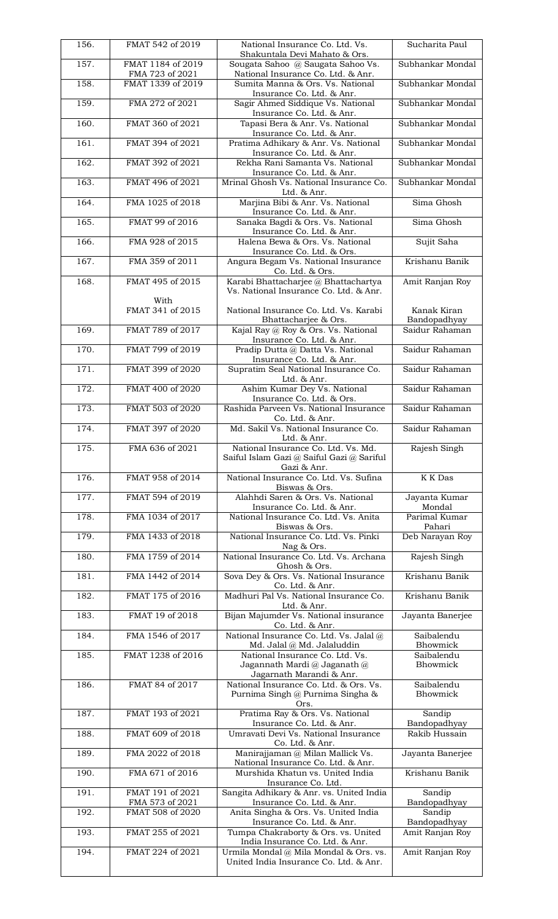| 156. | FMAT 542 of 2019                     | National Insurance Co. Ltd. Vs.<br>Shakuntala Devi Mahato & Ors.                            | Sucharita Paul                  |
|------|--------------------------------------|---------------------------------------------------------------------------------------------|---------------------------------|
| 157. | FMAT 1184 of 2019<br>FMA 723 of 2021 | Sougata Sahoo @ Saugata Sahoo Vs.<br>National Insurance Co. Ltd. & Anr.                     | Subhankar Mondal                |
| 158. | FMAT 1339 of 2019                    | Sumita Manna & Ors. Vs. National<br>Insurance Co. Ltd. & Anr.                               | Subhankar Mondal                |
| 159. | FMA 272 of 2021                      | Sagir Ahmed Siddique Vs. National<br>Insurance Co. Ltd. & Anr.                              | Subhankar Mondal                |
| 160. | FMAT 360 of 2021                     | Tapasi Bera & Anr. Vs. National<br>Insurance Co. Ltd. & Anr.                                | Subhankar Mondal                |
| 161. | FMAT 394 of 2021                     | Pratima Adhikary & Anr. Vs. National<br>Insurance Co. Ltd. & Anr.                           | Subhankar Mondal                |
| 162. | FMAT 392 of 2021                     | Rekha Rani Samanta Vs. National<br>Insurance Co. Ltd. & Anr.                                | Subhankar Mondal                |
| 163. | FMAT 496 of 2021                     | Mrinal Ghosh Vs. National Insurance Co.<br>Ltd. & Anr.                                      | Subhankar Mondal                |
| 164. | FMA 1025 of 2018                     | Marjina Bibi & Anr. Vs. National<br>Insurance Co. Ltd. & Anr.                               | Sima Ghosh                      |
| 165. | FMAT 99 of 2016                      | Sanaka Bagdi & Ors. Vs. National<br>Insurance Co. Ltd. & Anr.                               | Sima Ghosh                      |
| 166. | FMA 928 of 2015                      | Halena Bewa & Ors. Vs. National<br>Insurance Co. Ltd. & Ors.                                | Sujit Saha                      |
| 167. | FMA 359 of 2011                      | Angura Begam Vs. National Insurance<br>Co. Ltd. & Ors.                                      | Krishanu Banik                  |
| 168. | FMAT 495 of 2015                     | Karabi Bhattacharjee @ Bhattachartya<br>Vs. National Insurance Co. Ltd. & Anr.              | Amit Ranjan Roy                 |
|      | With<br>FMAT 341 of 2015             | National Insurance Co. Ltd. Vs. Karabi                                                      | Kanak Kiran                     |
| 169. | FMAT 789 of 2017                     | Bhattacharjee & Ors.<br>Kajal Ray @ Roy & Ors. Vs. National                                 | Bandopadhyay<br>Saidur Rahaman  |
| 170. | FMAT 799 of 2019                     | Insurance Co. Ltd. & Anr.<br>Pradip Dutta @ Datta Vs. National                              | Saidur Rahaman                  |
| 171. | FMAT 399 of 2020                     | Insurance Co. Ltd. & Anr.<br>Supratim Seal National Insurance Co.                           | Saidur Rahaman                  |
| 172. | FMAT 400 of 2020                     | Ltd. & Anr.<br>Ashim Kumar Dey Vs. National                                                 | Saidur Rahaman                  |
| 173. | FMAT 503 of 2020                     | Insurance Co. Ltd. & Ors.<br>Rashida Parveen Vs. National Insurance                         | Saidur Rahaman                  |
| 174. | FMAT 397 of 2020                     | Co. Ltd. & Anr.<br>Md. Sakil Vs. National Insurance Co.                                     | Saidur Rahaman                  |
| 175. | FMA 636 of 2021                      | <u>Ltd. &amp; Anr.</u><br>National Insurance Co. Ltd. Vs. Md.                               | Rajesh Singh                    |
|      |                                      | Saiful Islam Gazi @ Saiful Gazi @ Sariful<br>Gazi & Anr.                                    |                                 |
| 176. | FMAT 958 of 2014                     | National Insurance Co. Ltd. Vs. Sufina<br>Biswas & Ors.                                     | K K Das                         |
| 177. | FMAT 594 of 2019                     | Alahhdi Saren & Ors. Vs. National<br>Insurance Co. Ltd. & Anr.                              | Jayanta Kumar<br>Mondal         |
| 178. | FMA 1034 of 2017                     | National Insurance Co. Ltd. Vs. Anita<br>Biswas & Ors.                                      | Parimal Kumar<br>Pahari         |
| 179. | FMA 1433 of 2018                     | National Insurance Co. Ltd. Vs. Pinki<br>Nag & Ors.                                         | Deb Narayan Roy                 |
| 180. | FMA 1759 of 2014                     | National Insurance Co. Ltd. Vs. Archana<br>Ghosh & Ors.                                     | Rajesh Singh                    |
| 181. | FMA 1442 of 2014                     | Sova Dey & Ors. Vs. National Insurance<br>Co. Ltd. & Anr.                                   | Krishanu Banik                  |
| 182. | FMAT 175 of 2016                     | Madhuri Pal Vs. National Insurance Co.<br>Ltd. & Anr.                                       | Krishanu Banik                  |
| 183. | FMAT 19 of 2018                      | Bijan Majumder Vs. National insurance<br>Co. Ltd. & Anr.                                    | Jayanta Banerjee                |
| 184. | FMA 1546 of 2017                     | National Insurance Co. Ltd. Vs. Jalal @<br>Md. Jalal @ Md. Jalaluddin                       | Saibalendu<br>Bhowmick          |
| 185. | FMAT 1238 of 2016                    | National Insurance Co. Ltd. Vs.<br>Jagannath Mardi @ Jaganath @<br>Jagarnath Marandi & Anr. | Saibalendu<br>Bhowmick          |
| 186. | FMAT 84 of 2017                      | National Insurance Co. Ltd. & Ors. Vs.<br>Purnima Singh @ Purnima Singha &                  | Saibalendu<br>Bhowmick          |
| 187. | FMAT 193 of 2021                     | Ors.<br>Pratima Ray & Ors. Vs. National<br>Insurance Co. Ltd. & Anr.                        | Sandip                          |
| 188. | FMAT 609 of 2018                     | Umravati Devi Vs. National Insurance                                                        | Bandopadhyay<br>Rakib Hussain   |
| 189. | FMA 2022 of 2018                     | Co. Ltd. & Anr.<br>Manirajjaman @ Milan Mallick Vs.                                         | Jayanta Banerjee                |
| 190. | FMA 671 of 2016                      | National Insurance Co. Ltd. & Anr.<br>Murshida Khatun vs. United India                      | Krishanu Banik                  |
| 191. | FMAT 191 of 2021                     | Insurance Co. Ltd.<br>Sangita Adhikary & Anr. vs. United India                              | Sandip                          |
| 192. | FMA 573 of 2021<br>FMAT 508 of 2020  | Insurance Co. Ltd. & Anr.<br>Anita Singha & Ors. Vs. United India                           | Bandopadhyay<br>Sandip          |
| 193. | FMAT 255 of 2021                     | Insurance Co. Ltd. & Anr.<br>Tumpa Chakraborty & Ors. vs. United                            | Bandopadhyay<br>Amit Ranjan Roy |
| 194. | FMAT 224 of 2021                     | India Insurance Co. Ltd. & Anr.<br>Urmila Mondal @ Mila Mondal & Ors. vs.                   | Amit Ranjan Roy                 |
|      |                                      | United India Insurance Co. Ltd. & Anr.                                                      |                                 |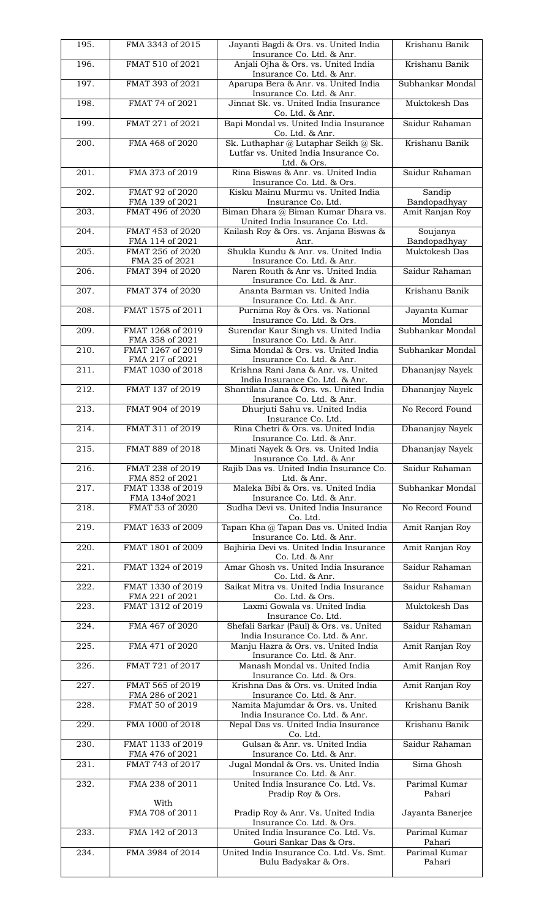| 195. | FMA 3343 of 2015                     | Jayanti Bagdi & Ors. vs. United India<br>Insurance Co. Ltd. & Anr.                           | Krishanu Banik                    |
|------|--------------------------------------|----------------------------------------------------------------------------------------------|-----------------------------------|
| 196. | FMAT 510 of 2021                     | Anjali Ojha & Ors. vs. United India<br>Insurance Co. Ltd. & Anr.                             | Krishanu Banik                    |
| 197. | FMAT 393 of 2021                     | Aparupa Bera & Anr. vs. United India<br>Insurance Co. Ltd. & Anr.                            | Subhankar Mondal                  |
| 198. | FMAT 74 of 2021                      | Jinnat Sk. vs. United India Insurance<br>Co. Ltd. & Anr.                                     | Muktokesh Das                     |
| 199. | FMAT 271 of 2021                     | Bapi Mondal vs. United India Insurance<br>Co. Ltd. & Anr.                                    | Saidur Rahaman                    |
| 200. | FMA 468 of 2020                      | Sk. Luthaphar @ Lutaphar Seikh @ Sk.<br>Lutfar vs. United India Insurance Co.                | Krishanu Banik                    |
| 201. | FMA 373 of 2019                      | Ltd. & Ors.<br>Rina Biswas & Anr. vs. United India<br>Insurance Co. Ltd. & Ors.              | Saidur Rahaman                    |
| 202. | FMAT 92 of 2020<br>FMA 139 of 2021   | Kisku Mainu Murmu vs. United India<br>Insurance Co. Ltd.                                     | Sandip<br>Bandopadhyay            |
| 203. | FMAT 496 of 2020                     | Biman Dhara @ Biman Kumar Dhara vs.<br>United India Insurance Co. Ltd.                       | Amit Ranjan Roy                   |
| 204. | FMAT 453 of 2020<br>FMA 114 of 2021  | Kailash Roy & Ors. vs. Anjana Biswas &<br>Anr.                                               | Soujanya<br>Bandopadhyay          |
| 205. | FMAT 256 of 2020<br>FMA 25 of 2021   | Shukla Kundu & Anr. vs. United India                                                         | Muktokesh Das                     |
| 206. | FMAT 394 of 2020                     | Insurance Co. Ltd. & Anr.<br>Naren Routh & Anr vs. United India<br>Insurance Co. Ltd. & Anr. | Saidur Rahaman                    |
| 207. | FMAT 374 of 2020                     | Ananta Barman vs. United India<br>Insurance Co. Ltd. & Anr.                                  | Krishanu Banik                    |
| 208. | FMAT 1575 of 2011                    | Purnima Roy & Ors. vs. National<br>Insurance Co. Ltd. & Ors.                                 | Jayanta Kumar<br>Mondal           |
| 209. | FMAT 1268 of 2019<br>FMA 358 of 2021 | Surendar Kaur Singh vs. United India<br>Insurance Co. Ltd. & Anr.                            | Subhankar Mondal                  |
| 210. | FMAT 1267 of 2019<br>FMA 217 of 2021 | Sima Mondal & Ors. vs. United India<br>Insurance Co. Ltd. & Anr.                             | Subhankar Mondal                  |
| 211. | FMAT 1030 of 2018                    | Krishna Rani Jana & Anr. vs. United<br>India Insurance Co. Ltd. & Anr.                       | Dhananjay Nayek                   |
| 212. | FMAT 137 of 2019                     | Shantilata Jana & Ors. vs. United India<br>Insurance Co. Ltd. & Anr.                         | Dhananjay Nayek                   |
| 213. | FMAT 904 of 2019                     | Dhurjuti Sahu vs. United India<br>Insurance Co. Ltd.                                         | No Record Found                   |
| 214. | FMAT 311 of 2019                     | Rina Chetri & Ors. vs. United India<br>Insurance Co. Ltd. & Anr.                             | Dhananjay Nayek                   |
| 215. | FMAT 889 of 2018                     | Minati Nayek & Ors. vs. United India<br>Insurance Co. Ltd. & Anr                             | Dhananjay Nayek                   |
| 216. | FMAT 238 of 2019<br>FMA 852 of 2021  | Rajib Das vs. United India Insurance Co.<br>Ltd. & Anr.                                      | Saidur Rahaman                    |
| 217. | FMAT 1338 of 2019<br>FMA 134of 2021  | Maleka Bibi & Ors. vs. United India<br>Insurance Co. Ltd. & Anr.                             | Subhankar Mondal                  |
| 218. | FMAT 53 of 2020                      | Sudha Devi vs. United India Insurance<br>Co. Ltd.                                            | No Record Found                   |
| 219. | FMAT 1633 of 2009                    | Tapan Kha @ Tapan Das vs. United India<br>Insurance Co. Ltd. & Anr.                          | Amit Ranjan Roy                   |
| 220. | FMAT 1801 of 2009                    | Bajhiria Devi vs. United India Insurance<br>Co. Ltd. & Anr                                   | Amit Ranjan Roy                   |
| 221. | FMAT 1324 of 2019                    | Amar Ghosh vs. United India Insurance<br>Co. Ltd. & Anr.                                     | Saidur Rahaman                    |
| 222. | FMAT 1330 of 2019<br>FMA 221 of 2021 | Saikat Mitra vs. United India Insurance<br>Co. Ltd. & Ors.                                   | Saidur Rahaman                    |
| 223. | FMAT 1312 of 2019                    | Laxmi Gowala vs. United India<br>Insurance Co. Ltd.                                          | Muktokesh Das                     |
| 224. | FMA 467 of 2020                      | Shefali Sarkar (Paul) & Ors. vs. United<br>India Insurance Co. Ltd. & Anr.                   | Saidur Rahaman                    |
| 225. | FMA 471 of 2020                      | Manju Hazra & Ors. vs. United India<br>Insurance Co. Ltd. & Anr.                             | Amit Ranjan Roy                   |
| 226. | FMAT 721 of 2017                     | Manash Mondal vs. United India<br>Insurance Co. Ltd. & Ors.                                  | Amit Ranjan Roy                   |
| 227. | FMAT 565 of 2019<br>FMA 286 of 2021  | Krishna Das & Ors. vs. United India<br>Insurance Co. Ltd. & Anr.                             | Amit Ranjan Roy                   |
| 228. | FMAT 50 of 2019                      | Namita Majumdar & Ors. vs. United<br>India Insurance Co. Ltd. & Anr.                         | Krishanu Banik                    |
| 229. | FMA 1000 of 2018                     | Nepal Das vs. United India Insurance<br>Co. Ltd.                                             | Krishanu Banik                    |
| 230. | FMAT 1133 of 2019<br>FMA 476 of 2021 | Gulsan & Anr. vs. United India<br>Insurance Co. Ltd. & Anr.                                  | Saidur Rahaman                    |
| 231. | FMAT 743 of 2017                     | Jugal Mondal & Ors. vs. United India<br>Insurance Co. Ltd. & Anr.                            | Sima Ghosh                        |
| 232. | FMA 238 of 2011                      | United India Insurance Co. Ltd. Vs.<br>Pradip Roy & Ors.                                     | Parimal Kumar<br>Pahari           |
|      | With<br>FMA 708 of 2011              | Pradip Roy & Anr. Vs. United India                                                           | Jayanta Banerjee                  |
| 233. | FMA 142 of 2013                      | Insurance Co. Ltd. & Ors.<br>United India Insurance Co. Ltd. Vs.                             | Parimal Kumar                     |
| 234. | FMA 3984 of 2014                     | Gouri Sankar Das & Ors.<br>United India Insurance Co. Ltd. Vs. Smt.<br>Bulu Badyakar & Ors.  | Pahari<br>Parimal Kumar<br>Pahari |
|      |                                      |                                                                                              |                                   |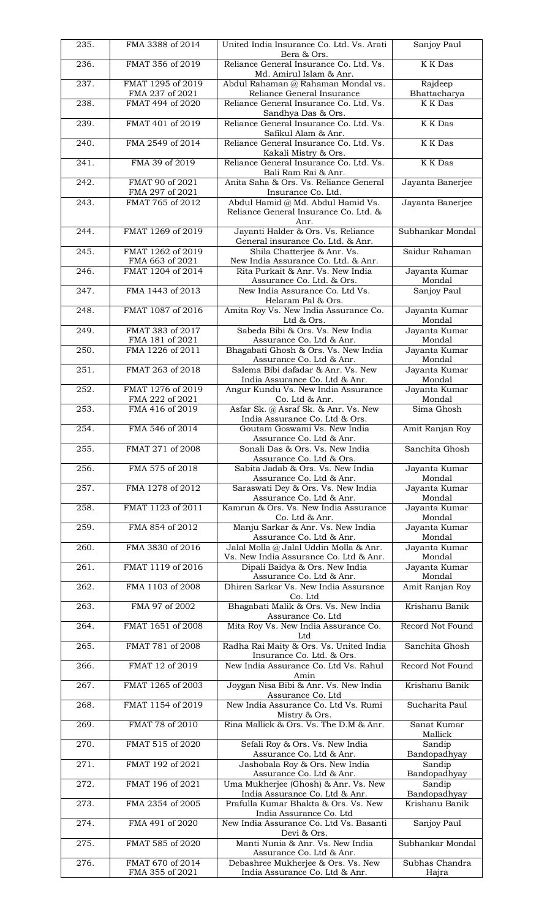| 235.               | FMA 3388 of 2014                     | United India Insurance Co. Ltd. Vs. Arati<br>Bera & Ors.                 | Sanjoy Paul             |
|--------------------|--------------------------------------|--------------------------------------------------------------------------|-------------------------|
| 236.               | FMAT 356 of 2019                     | Reliance General Insurance Co. Ltd. Vs.                                  | <b>K</b> K Das          |
| 237.               | FMAT 1295 of 2019                    | Md. Amirul Islam & Anr.<br>Abdul Rahaman @ Rahaman Mondal vs.            | Rajdeep                 |
|                    | FMA 237 of 2021                      | Reliance General Insurance                                               | Bhattacharya            |
| 238.               | FMAT 494 of 2020                     | Reliance General Insurance Co. Ltd. Vs.                                  | K K Das                 |
| 239.               | FMAT 401 of 2019                     | Sandhya Das & Ors.<br>Reliance General Insurance Co. Ltd. Vs.            | K K Das                 |
|                    |                                      | Safikul Alam & Anr.                                                      |                         |
| 240.               | FMA 2549 of 2014                     | Reliance General Insurance Co. Ltd. Vs.                                  | <b>K</b> K Das          |
| 241.               | FMA 39 of 2019                       | Kakali Mistry & Ors.<br>Reliance General Insurance Co. Ltd. Vs.          | <b>K</b> K Das          |
|                    |                                      | Bali Ram Rai & Anr.                                                      |                         |
| 242.               | FMAT 90 of 2021<br>FMA 297 of 2021   | Anita Saha & Ors. Vs. Reliance General<br>Insurance Co. Ltd.             | Jayanta Banerjee        |
| 243.               | FMAT 765 of 2012                     | Abdul Hamid @ Md. Abdul Hamid Vs.                                        | Jayanta Banerjee        |
|                    |                                      | Reliance General Insurance Co. Ltd. &                                    |                         |
| 244.               | FMAT 1269 of 2019                    | Anr.<br>Jayanti Halder & Ors. Vs. Reliance                               | Subhankar Mondal        |
|                    |                                      | General insurance Co. Ltd. & Anr.                                        |                         |
| 245.               | FMAT 1262 of 2019<br>FMA 663 of 2021 | Shila Chatterjee & Anr. Vs.<br>New India Assurance Co. Ltd. & Anr.       | Saidur Rahaman          |
| 246.               | FMAT 1204 of 2014                    | Rita Purkait & Anr. Vs. New India                                        | Jayanta Kumar           |
|                    |                                      | Assurance Co. Ltd. & Ors.                                                | Mondal                  |
| 247.               | FMA 1443 of 2013                     | New India Assurance Co. Ltd Vs.<br>Helaram Pal & Ors.                    | Sanjoy Paul             |
| 248.               | FMAT 1087 of 2016                    | Amita Roy Vs. New India Assurance Co.                                    | Jayanta Kumar           |
| 249.               | FMAT 383 of 2017                     | Ltd & Ors.<br>Sabeda Bibi & Ors. Vs. New India                           | Mondal<br>Jayanta Kumar |
|                    | FMA 181 of 2021                      | Assurance Co. Ltd & Anr.                                                 | Mondal                  |
| 250.               | FMA 1226 of 2011                     | Bhagabati Ghosh & Ors. Vs. New India                                     | Jayanta Kumar           |
| 251.               | FMAT 263 of 2018                     | Assurance Co. Ltd & Anr.<br>Salema Bibi dafadar & Anr. Vs. New           | Mondal<br>Jayanta Kumar |
|                    |                                      | India Assurance Co. Ltd & Anr.                                           | Mondal                  |
| 252.               | FMAT 1276 of 2019<br>FMA 222 of 2021 | Angur Kundu Vs. New India Assurance<br>Co. Ltd & Anr.                    | Jayanta Kumar<br>Mondal |
| 253.               | FMA 416 of 2019                      | Asfar Sk. @ Asraf Sk. & Anr. Vs. New                                     | Sima Ghosh              |
|                    |                                      | India Assurance Co. Ltd & Ors.                                           |                         |
| 254.               | FMA 546 of 2014                      | Goutam Goswami Vs. New India<br>Assurance Co. Ltd & Anr.                 | Amit Ranjan Roy         |
| $\overline{255}$ . | FMAT 271 of 2008                     | Sonali Das & Ors. Vs. New India                                          | Sanchita Ghosh          |
| 256.               | FMA 575 of 2018                      | Assurance Co. Ltd & Ors.<br>Sabita Jadab & Ors. Vs. New India            | Jayanta Kumar           |
|                    |                                      | Assurance Co. Ltd & Anr.                                                 | Mondal                  |
| 257.               | FMA 1278 of 2012                     | Saraswati Dey & Ors. Vs. New India<br>Assurance Co. Ltd & Anr.           | Jayanta Kumar<br>Mondal |
| 258.               | FMAT 1123 of 2011                    | Kamrun & Ors. Vs. New India Assurance                                    | Jayanta Kumar           |
|                    |                                      | Co. Ltd & Anr.                                                           | Mondal                  |
| 259.               | FMA 854 of 2012                      | Manju Sarkar & Anr. Vs. New India<br>Assurance Co. Ltd & Anr.            | Jayanta Kumar<br>Mondal |
| 260.               | FMA 3830 of 2016                     | Jalal Molla @ Jalal Uddin Molla & Anr.                                   | Jayanta Kumar           |
| $\overline{261}$ . | FMAT 1119 of 2016                    | Vs. New India Assurance Co. Ltd & Anr.<br>Dipali Baidya & Ors. New India | Mondal<br>Jayanta Kumar |
|                    |                                      | Assurance Co. Ltd & Anr.                                                 | Mondal                  |
| 262.               | FMA 1103 of 2008                     | Dhiren Sarkar Vs. New India Assurance                                    | Amit Ranjan Roy         |
| 263.               | FMA 97 of 2002                       | Co. Ltd<br>Bhagabati Malik & Ors. Vs. New India                          | Krishanu Banik          |
|                    |                                      | Assurance Co. Ltd                                                        |                         |
| 264.               | FMAT 1651 of 2008                    | Mita Roy Vs. New India Assurance Co.<br>Ltd                              | Record Not Found        |
| 265.               | FMAT 781 of 2008                     | Radha Rai Maity & Ors. Vs. United India                                  | Sanchita Ghosh          |
| 266.               | FMAT 12 of 2019                      | Insurance Co. Ltd. & Ors.<br>New India Assurance Co. Ltd Vs. Rahul       | Record Not Found        |
|                    |                                      | Amin                                                                     |                         |
| 267.               | FMAT 1265 of 2003                    | Joygan Nisa Bibi & Anr. Vs. New India<br>Assurance Co. Ltd               | Krishanu Banik          |
| 268.               | FMAT 1154 of 2019                    | New India Assurance Co. Ltd Vs. Rumi                                     | Sucharita Paul          |
|                    | FMAT 78 of 2010                      | Mistry & Ors.<br>Rina Mallick & Ors. Vs. The D.M & Anr.                  |                         |
| 269.               |                                      |                                                                          | Sanat Kumar<br>Mallick  |
| 270.               | FMAT 515 of 2020                     | Sefali Roy & Ors. Vs. New India                                          | Sandip                  |
| 271.               | FMAT 192 of 2021                     | Assurance Co. Ltd & Anr.<br>Jashobala Roy & Ors. New India               | Bandopadhyay<br>Sandip  |
|                    |                                      | Assurance Co. Ltd & Anr.                                                 | Bandopadhyay            |
| 272.               | FMAT 196 of 2021                     | Uma Mukherjee (Ghosh) & Anr. Vs. New<br>India Assurance Co. Ltd & Anr.   | Sandip<br>Bandopadhyay  |
| 273.               | FMA 2354 of 2005                     | Prafulla Kumar Bhakta & Ors. Vs. New                                     | Krishanu Banik          |
| 274.               | FMA 491 of 2020                      | India Assurance Co. Ltd<br>New India Assurance Co. Ltd Vs. Basanti       | Sanjoy Paul             |
|                    |                                      | Devi & Ors.                                                              |                         |
| 275.               | FMAT 585 of 2020                     | Manti Nunia & Anr. Vs. New India                                         | Subhankar Mondal        |
| 276.               | FMAT 670 of 2014                     | Assurance Co. Ltd & Anr.<br>Debashree Mukherjee & Ors. Vs. New           | Subhas Chandra          |
|                    | FMA 355 of 2021                      | India Assurance Co. Ltd & Anr.                                           | Hajra                   |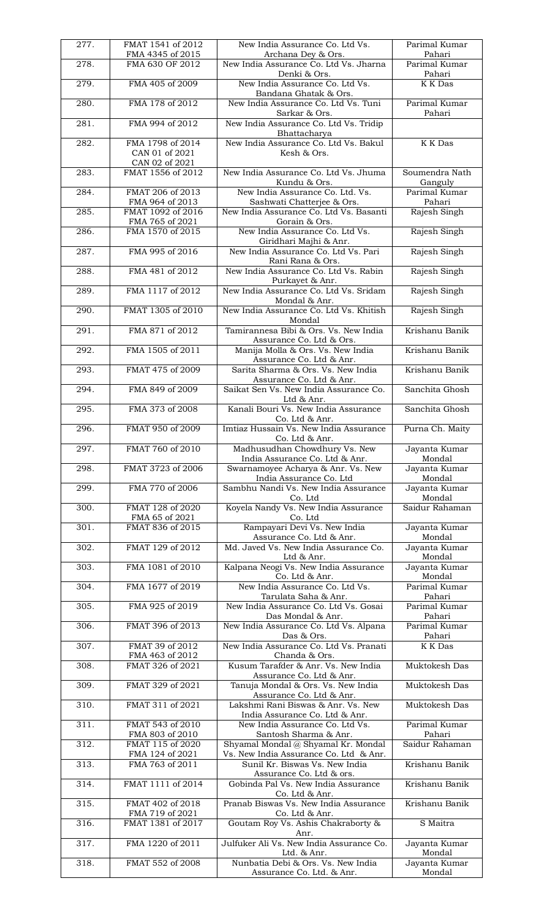| 277. | FMAT 1541 of 2012<br>FMA 4345 of 2015                | New India Assurance Co. Ltd Vs.<br>Archana Dey & Ors.                          | Parimal Kumar<br>Pahari   |
|------|------------------------------------------------------|--------------------------------------------------------------------------------|---------------------------|
| 278. | FMA 630 OF 2012                                      | New India Assurance Co. Ltd Vs. Jharna<br>Denki & Ors.                         | Parimal Kumar<br>Pahari   |
| 279. | FMA 405 of 2009                                      | New India Assurance Co. Ltd Vs.                                                | K K Das                   |
| 280. | FMA 178 of 2012                                      | Bandana Ghatak & Ors.<br>New India Assurance Co. Ltd Vs. Tuni<br>Sarkar & Ors. | Parimal Kumar<br>Pahari   |
| 281. | FMA 994 of 2012                                      | New India Assurance Co. Ltd Vs. Tridip<br>Bhattacharya                         |                           |
| 282. | FMA 1798 of 2014<br>CAN 01 of 2021<br>CAN 02 of 2021 | New India Assurance Co. Ltd Vs. Bakul<br>Kesh & Ors.                           | <b>K</b> K Das            |
| 283. | FMAT 1556 of 2012                                    | New India Assurance Co. Ltd Vs. Jhuma<br>Kundu & Ors.                          | Soumendra Nath<br>Ganguly |
| 284. | FMAT 206 of 2013<br>FMA 964 of 2013                  | New India Assurance Co. Ltd. Vs.<br>Sashwati Chatterjee & Ors.                 | Parimal Kumar<br>Pahari   |
| 285. | FMAT 1092 of 2016<br>FMA 765 of 2021                 | New India Assurance Co. Ltd Vs. Basanti                                        | Rajesh Singh              |
| 286. | FMA 1570 of 2015                                     | Gorain & Ors.<br>New India Assurance Co. Ltd Vs.<br>Giridhari Majhi & Anr.     | Rajesh Singh              |
| 287. | FMA 995 of 2016                                      | New India Assurance Co. Ltd Vs. Pari<br>Rani Rana & Ors.                       | Rajesh Singh              |
| 288. | FMA 481 of 2012                                      | New India Assurance Co. Ltd Vs. Rabin<br>Purkayet & Anr.                       | Rajesh Singh              |
| 289. | FMA 1117 of 2012                                     | New India Assurance Co. Ltd Vs. Sridam<br>Mondal & Anr.                        | Rajesh Singh              |
| 290. | FMAT 1305 of 2010                                    | New India Assurance Co. Ltd Vs. Khitish<br>Mondal                              | Rajesh Singh              |
| 291. | FMA 871 of 2012                                      | Tamirannesa Bibi & Ors. Vs. New India<br>Assurance Co. Ltd & Ors.              | Krishanu Banik            |
| 292. | FMA 1505 of 2011                                     | Manija Molla & Ors. Vs. New India<br>Assurance Co. Ltd & Anr.                  | Krishanu Banik            |
| 293. | FMAT 475 of 2009                                     | Sarita Sharma & Ors. Vs. New India<br>Assurance Co. Ltd & Anr.                 | Krishanu Banik            |
| 294. | FMA 849 of 2009                                      | Saikat Sen Vs. New India Assurance Co.<br>Ltd & Anr.                           | Sanchita Ghosh            |
| 295. | FMA 373 of 2008                                      | Kanali Bouri Vs. New India Assurance<br>Co. Ltd & Anr.                         | Sanchita Ghosh            |
| 296. | FMAT 950 of 2009                                     | Imtiaz Hussain Vs. New India Assurance<br>Co. Ltd & Anr.                       | Purna Ch. Maity           |
| 297. | FMAT 760 of 2010                                     | Madhusudhan Chowdhury Vs. New<br>India Assurance Co. Ltd & Anr.                | Jayanta Kumar<br>Mondal   |
| 298. | FMAT 3723 of 2006                                    | Swarnamoyee Acharya & Anr. Vs. New<br>India Assurance Co. Ltd                  | Jayanta Kumar<br>Mondal   |
| 299. | FMA 770 of 2006                                      | Sambhu Nandi Vs. New India Assurance<br>Co. Ltd                                | Jayanta Kumar<br>Mondal   |
| 300. | FMAT 128 of 2020<br>FMA 65 of 2021                   | Koyela Nandy Vs. New India Assurance<br>Co. Ltd                                | Saidur Rahaman            |
| 301. | FMAT 836 of 2015                                     | Rampayari Devi Vs. New India<br>Assurance Co. Ltd & Anr.                       | Jayanta Kumar<br>Mondal   |
| 302. | FMAT 129 of 2012                                     | Md. Javed Vs. New India Assurance Co.<br>Ltd & Anr.                            | Jayanta Kumar<br>Mondal   |
| 303. | FMA 1081 of 2010                                     | Kalpana Neogi Vs. New India Assurance<br>Co. Ltd & Anr.                        | Jayanta Kumar<br>Mondal   |
| 304. | FMA 1677 of 2019                                     | New India Assurance Co. Ltd Vs.<br>Tarulata Saha & Anr.                        | Parimal Kumar<br>Pahari   |
| 305. | FMA 925 of 2019                                      | New India Assurance Co. Ltd Vs. Gosai<br>Das Mondal & Anr.                     | Parimal Kumar<br>Pahari   |
| 306. | FMAT 396 of 2013                                     | New India Assurance Co. Ltd Vs. Alpana<br>Das & Ors.                           | Parimal Kumar<br>Pahari   |
| 307. | FMAT 39 of 2012<br>FMA 463 of 2012                   | New India Assurance Co. Ltd Vs. Pranati<br>Chanda & Ors.                       | K K Das                   |
| 308. | FMAT 326 of 2021                                     | Kusum Tarafder & Anr. Vs. New India<br>Assurance Co. Ltd & Anr.                | Muktokesh Das             |
| 309. | FMAT 329 of 2021                                     | Tanuja Mondal & Ors. Vs. New India<br>Assurance Co. Ltd & Anr.                 | Muktokesh Das             |
| 310. | FMAT 311 of 2021                                     | Lakshmi Rani Biswas & Anr. Vs. New<br>India Assurance Co. Ltd & Anr.           | Muktokesh Das             |
| 311. | FMAT 543 of 2010<br>FMA 803 of 2010                  | New India Assurance Co. Ltd Vs.<br>Santosh Sharma & Anr.                       | Parimal Kumar<br>Pahari   |
| 312. | FMAT 115 of 2020<br>FMA 124 of 2021                  | Shyamal Mondal @ Shyamal Kr. Mondal<br>Vs. New India Assurance Co. Ltd & Anr.  | Saidur Rahaman            |
| 313. | FMA 763 of 2011                                      | Sunil Kr. Biswas Vs. New India<br>Assurance Co. Ltd & ors.                     | Krishanu Banik            |
| 314. | FMAT 1111 of 2014                                    | Gobinda Pal Vs. New India Assurance<br>Co. Ltd & Anr.                          | Krishanu Banik            |
| 315. | FMAT 402 of 2018<br>FMA 719 of 2021                  | Pranab Biswas Vs. New India Assurance<br>Co. Ltd & Anr.                        | Krishanu Banik            |
| 316. | FMAT 1381 of 2017                                    | Goutam Roy Vs. Ashis Chakraborty &<br>Anr.                                     | S Maitra                  |
| 317. | FMA 1220 of 2011                                     | Julfuker Ali Vs. New India Assurance Co.<br>Ltd. & Anr.                        | Jayanta Kumar<br>Mondal   |
| 318. | FMAT 552 of 2008                                     | Nunbatia Debi & Ors. Vs. New India<br>Assurance Co. Ltd. & Anr.                | Jayanta Kumar<br>Mondal   |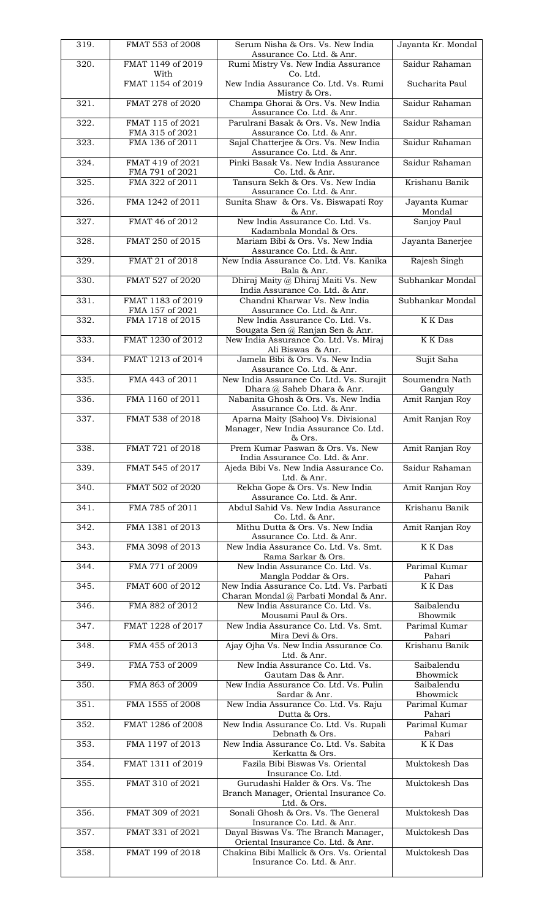| 319. | FMAT 553 of 2008                     | Serum Nisha & Ors. Vs. New India<br>Assurance Co. Ltd. & Anr.                                               | Jayanta Kr. Mondal        |
|------|--------------------------------------|-------------------------------------------------------------------------------------------------------------|---------------------------|
| 320. | FMAT 1149 of 2019                    | Rumi Mistry Vs. New India Assurance                                                                         | Saidur Rahaman            |
|      | With<br>FMAT 1154 of 2019            | Co. Ltd.<br>New India Assurance Co. Ltd. Vs. Rumi                                                           | Sucharita Paul            |
| 321. | FMAT 278 of 2020                     | Mistry & Ors.<br>Champa Ghorai & Ors. Vs. New India<br>Assurance Co. Ltd. & Anr.                            | Saidur Rahaman            |
| 322. | FMAT 115 of 2021<br>FMA 315 of 2021  | Parulrani Basak & Ors. Vs. New India<br>Assurance Co. Ltd. & Anr.                                           | Saidur Rahaman            |
| 323. | FMA 136 of 2011                      | Sajal Chatterjee & Ors. Vs. New India<br>Assurance Co. Ltd. & Anr.                                          | Saidur Rahaman            |
| 324. | FMAT 419 of 2021<br>FMA 791 of 2021  | Pinki Basak Vs. New India Assurance<br>Co. Ltd. & Anr.                                                      | Saidur Rahaman            |
| 325. | FMA 322 of 2011                      | Tansura Sekh & Ors. Vs. New India<br>Assurance Co. Ltd. & Anr.                                              | Krishanu Banik            |
| 326. | FMA 1242 of 2011                     | Sunita Shaw & Ors. Vs. Biswapati Roy<br>& Anr.                                                              | Jayanta Kumar<br>Mondal   |
| 327. | FMAT 46 of 2012                      | New India Assurance Co. Ltd. Vs.<br>Kadambala Mondal & Ors.                                                 | Sanjoy Paul               |
| 328. | FMAT 250 of 2015                     | Mariam Bibi & Ors. Vs. New India<br>Assurance Co. Ltd. & Anr.                                               | Jayanta Banerjee          |
| 329. | FMAT 21 of 2018                      | New India Assurance Co. Ltd. Vs. Kanika<br>Bala & Anr.                                                      | Rajesh Singh              |
| 330. | FMAT 527 of 2020                     | Dhiraj Maity @ Dhiraj Maiti Vs. New<br>India Assurance Co. Ltd. & Anr.                                      | Subhankar Mondal          |
| 331. | FMAT 1183 of 2019<br>FMA 157 of 2021 | Chandni Kharwar Vs. New India<br>Assurance Co. Ltd. & Anr.                                                  | Subhankar Mondal          |
| 332. | FMA 1718 of 2015                     | New India Assurance Co. Ltd. Vs.<br>Sougata Sen @ Ranjan Sen & Anr.                                         | <b>K</b> K Das            |
| 333. | FMAT 1230 of 2012                    | New India Assurance Co. Ltd. Vs. Miraj<br>Ali Biswas & Anr.                                                 | K K Das                   |
| 334. | FMAT 1213 of 2014                    | Jamela Bibi & Ors. Vs. New India<br>Assurance Co. Ltd. & Anr.                                               | Sujit Saha                |
| 335. | FMA 443 of 2011                      | New India Assurance Co. Ltd. Vs. Surajit<br>Dhara @ Saheb Dhara & Anr.                                      | Soumendra Nath<br>Ganguly |
| 336. | FMA 1160 of 2011                     | Nabanita Ghosh & Ors. Vs. New India<br>Assurance Co. Ltd. & Anr.                                            | Amit Ranjan Roy           |
| 337. | FMAT 538 of 2018                     | Aparna Maity (Sahoo) Vs. Divisional<br>Manager, New India Assurance Co. Ltd.                                | Amit Ranjan Roy           |
| 338. | FMAT 721 of 2018                     | & Ors.<br>Prem Kumar Paswan & Ors. Vs. New<br>India Assurance Co. Ltd. & Anr.                               | Amit Ranjan Roy           |
| 339. | FMAT 545 of 2017                     | Ajeda Bibi Vs. New India Assurance Co.<br>Ltd. & Anr.                                                       | Saidur Rahaman            |
| 340. | FMAT 502 of 2020                     | Rekha Gope & Ors. Vs. New India<br>Assurance Co. Ltd. & Anr.                                                | Amit Ranjan Roy           |
| 341. | FMA 785 of 2011                      | Abdul Sahid Vs. New India Assurance<br>Co. Ltd. & Anr.                                                      | Krishanu Banik            |
| 342. | FMA 1381 of 2013                     | Mithu Dutta & Ors. Vs. New India<br>Assurance Co. Ltd. & Anr.                                               | Amit Ranjan Roy           |
| 343. | FMA 3098 of 2013                     | New India Assurance Co. Ltd. Vs. Smt.<br>Rama Sarkar & Ors.                                                 | <b>K</b> K Das            |
| 344. | FMA 771 of 2009                      | New India Assurance Co. Ltd. Vs.<br>Mangla Poddar & Ors.                                                    | Parimal Kumar<br>Pahari   |
| 345. | FMAT 600 of 2012                     | New India Assurance Co. Ltd. Vs. Parbati<br>Charan Mondal @ Parbati Mondal & Anr.                           | K K Das                   |
| 346. | FMA 882 of 2012                      | New India Assurance Co. Ltd. Vs.<br>Mousami Paul & Ors.                                                     | Saibalendu<br>Bhowmik     |
| 347. | FMAT 1228 of 2017                    | New India Assurance Co. Ltd. Vs. Smt.<br>Mira Devi & Ors.                                                   | Parimal Kumar<br>Pahari   |
| 348. | FMA 455 of 2013                      | Ajay Ojha Vs. New India Assurance Co.<br>Ltd. & Anr.                                                        | Krishanu Banik            |
| 349. | FMA 753 of 2009                      | New India Assurance Co. Ltd. Vs.<br>Gautam Das & Anr.                                                       | Saibalendu<br>Bhowmick    |
| 350. | FMA 863 of 2009                      | New India Assurance Co. Ltd. Vs. Pulin<br>Sardar & Anr.                                                     | Saibalendu<br>Bhowmick    |
| 351. | FMA 1555 of 2008                     | New India Assurance Co. Ltd. Vs. Raju                                                                       | Parimal Kumar<br>Pahari   |
| 352. | FMAT 1286 of 2008                    | Dutta & Ors.<br>New India Assurance Co. Ltd. Vs. Rupali<br>Debnath & Ors.                                   | Parimal Kumar<br>Pahari   |
| 353. | FMA 1197 of 2013                     | New India Assurance Co. Ltd. Vs. Sabita                                                                     | K K Das                   |
| 354. | FMAT 1311 of 2019                    | Kerkatta & Ors.<br>Fazila Bibi Biswas Vs. Oriental<br>Insurance Co. Ltd.                                    | Muktokesh Das             |
| 355. | FMAT 310 of 2021                     | Gurudashi Halder & Ors. Vs. The<br>Branch Manager, Oriental Insurance Co.<br>Ltd. & Ors.                    | Muktokesh Das             |
| 356. | FMAT 309 of 2021                     | Sonali Ghosh & Ors. Vs. The General                                                                         | Muktokesh Das             |
| 357. | FMAT 331 of 2021                     | Insurance Co. Ltd. & Anr.<br>Dayal Biswas Vs. The Branch Manager,                                           | Muktokesh Das             |
| 358. | FMAT 199 of 2018                     | Oriental Insurance Co. Ltd. & Anr.<br>Chakina Bibi Mallick & Ors. Vs. Oriental<br>Insurance Co. Ltd. & Anr. | Muktokesh Das             |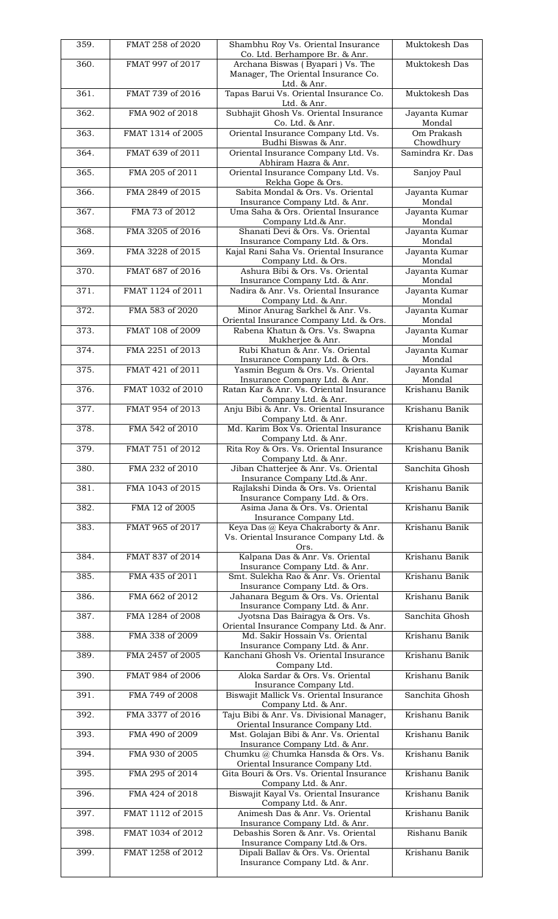| 359. | FMAT 258 of 2020  | Shambhu Roy Vs. Oriental Insurance<br>Co. Ltd. Berhampore Br. & Anr.                | Muktokesh Das           |
|------|-------------------|-------------------------------------------------------------------------------------|-------------------------|
| 360. | FMAT 997 of 2017  | Archana Biswas (Byapari) Vs. The<br>Manager, The Oriental Insurance Co.             | Muktokesh Das           |
| 361. | FMAT 739 of 2016  | Ltd. & Anr.<br>Tapas Barui Vs. Oriental Insurance Co.<br>Ltd. & Anr.                | Muktokesh Das           |
| 362. | FMA 902 of 2018   | Subhajit Ghosh Vs. Oriental Insurance<br>Co. Ltd. & Anr.                            | Jayanta Kumar<br>Mondal |
| 363. | FMAT 1314 of 2005 | Oriental Insurance Company Ltd. Vs.<br>Budhi Biswas & Anr.                          | Om Prakash<br>Chowdhury |
| 364. | FMAT 639 of 2011  | Oriental Insurance Company Ltd. Vs.<br>Abhiram Hazra & Anr.                         | Samindra Kr. Das        |
| 365. | FMA 205 of 2011   | Oriental Insurance Company Ltd. Vs.<br>Rekha Gope & Ors.                            | Sanjoy Paul             |
| 366. | FMA 2849 of 2015  | Sabita Mondal & Ors. Vs. Oriental<br>Insurance Company Ltd. & Anr.                  | Jayanta Kumar<br>Mondal |
| 367. | FMA 73 of 2012    | Uma Saha & Ors. Oriental Insurance<br>Company Ltd.& Anr.                            | Jayanta Kumar<br>Mondal |
| 368. | FMA 3205 of 2016  | Shanati Devi & Ors. Vs. Oriental<br>Insurance Company Ltd. & Ors.                   | Jayanta Kumar<br>Mondal |
| 369. | FMA 3228 of 2015  | Kajal Rani Saha Vs. Oriental Insurance<br>Company Ltd. & Ors.                       | Jayanta Kumar<br>Mondal |
| 370. | FMAT 687 of 2016  | Ashura Bibi & Ors. Vs. Oriental<br>Insurance Company Ltd. & Anr.                    | Jayanta Kumar<br>Mondal |
| 371. | FMAT 1124 of 2011 | Nadira & Anr. Vs. Oriental Insurance<br>Company Ltd. & Anr.                         | Jayanta Kumar<br>Mondal |
| 372. | FMA 583 of 2020   | Minor Anurag Sarkhel & Anr. Vs.<br>Oriental Insurance Company Ltd. & Ors.           | Jayanta Kumar<br>Mondal |
| 373. | FMAT 108 of 2009  | Rabena Khatun & Ors. Vs. Swapna<br>Mukherjee & Anr.                                 | Jayanta Kumar<br>Mondal |
| 374. | FMA 2251 of 2013  | Rubi Khatun & Anr. Vs. Oriental<br>Insurance Company Ltd. & Ors.                    | Jayanta Kumar<br>Mondal |
| 375. | FMAT 421 of 2011  | Yasmin Begum & Ors. Vs. Oriental<br>Insurance Company Ltd. & Anr.                   | Jayanta Kumar<br>Mondal |
| 376. | FMAT 1032 of 2010 | Ratan Kar & Anr. Vs. Oriental Insurance<br>Company Ltd. & Anr.                      | Krishanu Banik          |
| 377. | FMAT 954 of 2013  | Anju Bibi & Anr. Vs. Oriental Insurance<br>Company Ltd. & Anr.                      | Krishanu Banik          |
| 378. | FMA 542 of 2010   | Md. Karim Box Vs. Oriental Insurance<br>Company Ltd. & Anr.                         | Krishanu Banik          |
| 379. | FMAT 751 of 2012  | Rita Roy & Ors. Vs. Oriental Insurance<br>Company Ltd. & Anr.                       | Krishanu Banik          |
| 380. | FMA 232 of 2010   | Jiban Chatterjee & Anr. Vs. Oriental<br>Insurance Company Ltd.& Anr.                | Sanchita Ghosh          |
| 381. | FMA 1043 of 2015  | Rajlakshi Dinda & Ors. Vs. Oriental<br>Insurance Company Ltd. & Ors.                | Krishanu Banik          |
| 382. | FMA 12 of 2005    | Asima Jana & Ors. Vs. Oriental<br>Insurance Company Ltd.                            | Krishanu Banik          |
| 383. | FMAT 965 of 2017  | Keya Das @ Keya Chakraborty & Anr.<br>Vs. Oriental Insurance Company Ltd. &<br>Ors. | Krishanu Banik          |
| 384. | FMAT 837 of 2014  | Kalpana Das & Anr. Vs. Oriental<br>Insurance Company Ltd. & Anr.                    | Krishanu Banik          |
| 385. | FMA 435 of 2011   | Smt. Sulekha Rao & Anr. Vs. Oriental<br>Insurance Company Ltd. & Ors.               | Krishanu Banik          |
| 386. | FMA 662 of 2012   | Jahanara Begum & Ors. Vs. Oriental<br>Insurance Company Ltd. & Anr.                 | Krishanu Banik          |
| 387. | FMA 1284 of 2008  | Jyotsna Das Bairagya & Ors. Vs.<br>Oriental Insurance Company Ltd. & Anr.           | Sanchita Ghosh          |
| 388. | FMA 338 of 2009   | Md. Sakir Hossain Vs. Oriental<br>Insurance Company Ltd. & Anr.                     | Krishanu Banik          |
| 389. | FMA 2457 of 2005  | Kanchani Ghosh Vs. Oriental Insurance<br>Company Ltd.                               | Krishanu Banik          |
| 390. | FMAT 984 of 2006  | Aloka Sardar & Ors. Vs. Oriental<br>Insurance Company Ltd.                          | Krishanu Banik          |
| 391. | FMA 749 of 2008   | Biswajit Mallick Vs. Oriental Insurance<br>Company Ltd. & Anr.                      | Sanchita Ghosh          |
| 392. | FMA 3377 of 2016  | Taju Bibi & Anr. Vs. Divisional Manager,<br>Oriental Insurance Company Ltd.         | Krishanu Banik          |
| 393. | FMA 490 of 2009   | Mst. Golajan Bibi & Anr. Vs. Oriental<br>Insurance Company Ltd. & Anr.              | Krishanu Banik          |
| 394. | FMA 930 of 2005   | Chumku @ Chumka Hansda & Ors. Vs.<br>Oriental Insurance Company Ltd.                | Krishanu Banik          |
| 395. | FMA 295 of 2014   | Gita Bouri & Ors. Vs. Oriental Insurance<br>Company Ltd. & Anr.                     | Krishanu Banik          |
| 396. | FMA 424 of 2018   | Biswajit Kayal Vs. Oriental Insurance<br>Company Ltd. & Anr.                        | Krishanu Banik          |
| 397. | FMAT 1112 of 2015 | Animesh Das & Anr. Vs. Oriental<br>Insurance Company Ltd. & Anr.                    | Krishanu Banik          |
| 398. | FMAT 1034 of 2012 | Debashis Soren & Anr. Vs. Oriental<br>Insurance Company Ltd.& Ors.                  | Rishanu Banik           |
| 399. | FMAT 1258 of 2012 | Dipali Ballav & Ors. Vs. Oriental<br>Insurance Company Ltd. & Anr.                  | Krishanu Banik          |